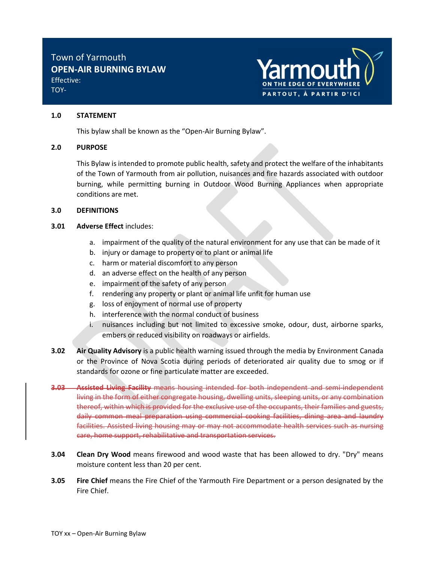

# TOY-

## 1.0 STATEMENT

This bylaw shall be known as the "Open-Air Burning Bylaw".

# 2.0 PURPOSE

This Bylaw is intended to promote public health, safety and protect the welfare of the inhabitants of the Town of Yarmouth from air pollution, nuisances and fire hazards associated with outdoor burning, while permitting burning in Outdoor Wood Burning Appliances when appropriate conditions are met.

# 3.0 DEFINITIONS

# 3.01 Adverse Effect includes:

- a. impairment of the quality of the natural environment for any use that can be made of it
- b. injury or damage to property or to plant or animal life
- c. harm or material discomfort to any person
- d. an adverse effect on the health of any person
- e. impairment of the safety of any person
- f. rendering any property or plant or animal life unfit for human use
- g. loss of enjoyment of normal use of property
- h. interference with the normal conduct of business
- i. nuisances including but not limited to excessive smoke, odour, dust, airborne sparks, embers or reduced visibility on roadways or airfields.
- **3.02** Air Quality Advisory is a public health warning issued through the media by Environment Canada or the Province of Nova Scotia during periods of deteriorated air quality due to smog or if standards for ozone or fine particulate matter are exceeded.
- **3.03 Assisted Living Facility** means housing intended for both independent and semi-independent living in the form of either congregate housing, dwelling units, sleeping units, or any combination thereof, within which is provided for the exclusive use of the occupants, their families and guests, daily common meal preparation using commercial cooking facilities, dining area and laundry facilities. Assisted living housing may or may not accommodate health services such as nursing care, home support, rehabilitative and transportation services.
- **3.04** Clean Dry Wood means firewood and wood waste that has been allowed to dry. "Dry" means moisture content less than 20 per cent.
- **3.05 Fire Chief** means the Fire Chief of the Yarmouth Fire Department or a person designated by the Fire Chief.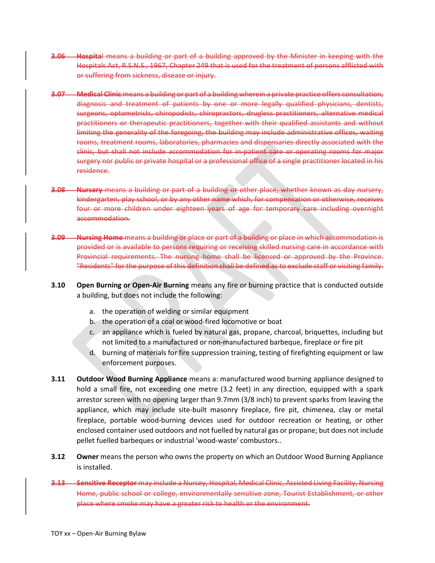- 3.06 Hospital means a building or part of a building approved by the Minister in keeping with the Hospitals Act, R.S.N.S., 1967, Chapter 249 that is used for the treatment of persons afflicted with or suffering from sickness, disease or injury.
- 3.07 Medical Clinic means a building or part of a building wherein a private practice offers consultation, diagnosis and treatment of patients by one or more legally qualified physicians, dentists, surgeons, optometrists, chiropodists, chiropractors, drugless practitioners, alternative medical practitioners or therapeutic practitioners, together with their qualified assistants and without limiting the generality of the foregoing, the building may include administrative offices, waiting rooms, treatment rooms, laboratories, pharmacies and dispensaries directly associated with the clinic, but shall not include accommodation for in-patient care or operating rooms for major surgery nor public or private hospital or a professional office of a single practitioner located in his residence.
- 3.08 Nursery means a building or part of a building or other place, whether known as day nursery, kindergarten, play school, or by any other name which, for compensation or otherwise, receives four or more children under eighteen years of age for temporary care including overnight accommodation.
- **3.09 Nursing Home** means a building or place or part of a building or place in which accommodation is provided or is available to persons requiring or receiving skilled nursing care in accordance with Provincial requirements. The nursing home shall be licensed or approved by the Province. "Residents" for the purpose of this definition shall be defined as to exclude staff or visiting family.
- **3.10** Open Burning or Open-Air Burning means any fire or burning practice that is conducted outside a building, but does not include the following:
	- a. the operation of welding or similar equipment
	- b. the operation of a coal or wood-fired locomotive or boat
	- c. an appliance which is fueled by natural gas, propane, charcoal, briquettes, including but not limited to a manufactured or non-manufactured barbeque, fireplace or fire pit
	- d. burning of materials for fire suppression training, testing of firefighting equipment or law enforcement purposes.
- **3.11 Outdoor Wood Burning Appliance** means a: manufactured wood burning appliance designed to hold a small fire, not exceeding one metre (3.2 feet) in any direction, equipped with a spark arrestor screen with no opening larger than 9.7mm (3/8 inch) to prevent sparks from leaving the appliance, which may include site-built masonry fireplace, fire pit, chimenea, clay or metal fireplace, portable wood-burning devices used for outdoor recreation or heating, or other enclosed container used outdoors and not fuelled by natural gas or propane; but does not include pellet fuelled barbeques or industrial 'wood-waste' combustors..
- **3.12** Owner means the person who owns the property on which an Outdoor Wood Burning Appliance is installed.
- 3.13 Sensitive Receptor may include a Nursey, Hospital, Medical Clinic, Assisted Living Facility, Nursing Home, public school or college, environmentally sensitive zone, Tourist Establishment, or other place where smoke may have a greater risk to health or the environment.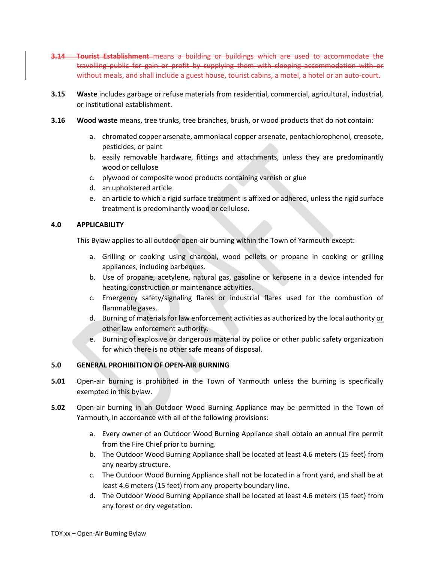- **3.14 Tourist Establishment** means a building or buildings which are used to accommodate the travelling public for gain or profit by supplying them with sleeping accommodation with or without meals, and shall include a guest house, tourist cabins, a motel, a hotel or an auto-court.
- 3.15 Waste includes garbage or refuse materials from residential, commercial, agricultural, industrial, or institutional establishment.
- **3.16** Wood waste means, tree trunks, tree branches, brush, or wood products that do not contain:
	- a. chromated copper arsenate, ammoniacal copper arsenate, pentachlorophenol, creosote, pesticides, or paint
	- b. easily removable hardware, fittings and attachments, unless they are predominantly wood or cellulose
	- c. plywood or composite wood products containing varnish or glue
	- d. an upholstered article
	- e. an article to which a rigid surface treatment is affixed or adhered, unless the rigid surface treatment is predominantly wood or cellulose.

## 4.0 APPLICABILITY

This Bylaw applies to all outdoor open-air burning within the Town of Yarmouth except:

- a. Grilling or cooking using charcoal, wood pellets or propane in cooking or grilling appliances, including barbeques.
- b. Use of propane, acetylene, natural gas, gasoline or kerosene in a device intended for heating, construction or maintenance activities.
- c. Emergency safety/signaling flares or industrial flares used for the combustion of flammable gases.
- d. Burning of materials for law enforcement activities as authorized by the local authority or other law enforcement authority.
- e. Burning of explosive or dangerous material by police or other public safety organization for which there is no other safe means of disposal.

## 5.0 GENERAL PROHIBITION OF OPEN-AIR BURNING

- **5.01** Open-air burning is prohibited in the Town of Yarmouth unless the burning is specifically exempted in this bylaw.
- 5.02 Open-air burning in an Outdoor Wood Burning Appliance may be permitted in the Town of Yarmouth, in accordance with all of the following provisions:
	- a. Every owner of an Outdoor Wood Burning Appliance shall obtain an annual fire permit from the Fire Chief prior to burning.
	- b. The Outdoor Wood Burning Appliance shall be located at least 4.6 meters (15 feet) from any nearby structure.
	- c. The Outdoor Wood Burning Appliance shall not be located in a front yard, and shall be at least 4.6 meters (15 feet) from any property boundary line.
	- d. The Outdoor Wood Burning Appliance shall be located at least 4.6 meters (15 feet) from any forest or dry vegetation.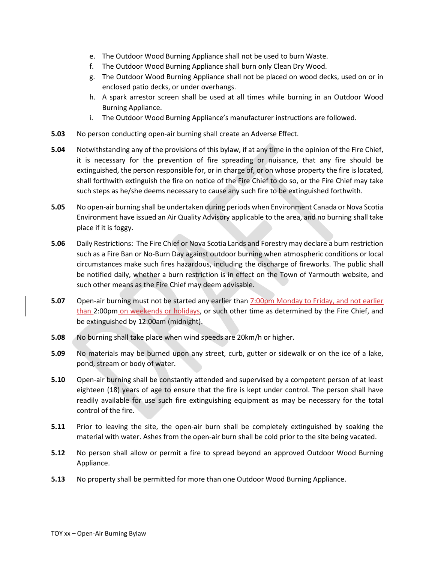- e. The Outdoor Wood Burning Appliance shall not be used to burn Waste.
- f. The Outdoor Wood Burning Appliance shall burn only Clean Dry Wood.
- g. The Outdoor Wood Burning Appliance shall not be placed on wood decks, used on or in enclosed patio decks, or under overhangs.
- h. A spark arrestor screen shall be used at all times while burning in an Outdoor Wood Burning Appliance.
- i. The Outdoor Wood Burning Appliance's manufacturer instructions are followed.
- 5.03 No person conducting open-air burning shall create an Adverse Effect.
- 5.04 Notwithstanding any of the provisions of this bylaw, if at any time in the opinion of the Fire Chief, it is necessary for the prevention of fire spreading or nuisance, that any fire should be extinguished, the person responsible for, or in charge of, or on whose property the fire is located, shall forthwith extinguish the fire on notice of the Fire Chief to do so, or the Fire Chief may take such steps as he/she deems necessary to cause any such fire to be extinguished forthwith.
- 5.05 No open-air burning shall be undertaken during periods when Environment Canada or Nova Scotia Environment have issued an Air Quality Advisory applicable to the area, and no burning shall take place if it is foggy.
- 5.06 Daily Restrictions: The Fire Chief or Nova Scotia Lands and Forestry may declare a burn restriction such as a Fire Ban or No-Burn Day against outdoor burning when atmospheric conditions or local circumstances make such fires hazardous, including the discharge of fireworks. The public shall be notified daily, whether a burn restriction is in effect on the Town of Yarmouth website, and such other means as the Fire Chief may deem advisable.
- 5.07 Open-air burning must not be started any earlier than 7:00pm Monday to Friday, and not earlier than 2:00pm on weekends or holidays, or such other time as determined by the Fire Chief, and be extinguished by 12:00am (midnight).
- 5.08 No burning shall take place when wind speeds are 20km/h or higher.
- 5.09 No materials may be burned upon any street, curb, gutter or sidewalk or on the ice of a lake, pond, stream or body of water.
- 5.10 Open-air burning shall be constantly attended and supervised by a competent person of at least eighteen (18) years of age to ensure that the fire is kept under control. The person shall have readily available for use such fire extinguishing equipment as may be necessary for the total control of the fire.
- **5.11** Prior to leaving the site, the open-air burn shall be completely extinguished by soaking the material with water. Ashes from the open-air burn shall be cold prior to the site being vacated.
- 5.12 No person shall allow or permit a fire to spread beyond an approved Outdoor Wood Burning Appliance.
- 5.13 No property shall be permitted for more than one Outdoor Wood Burning Appliance.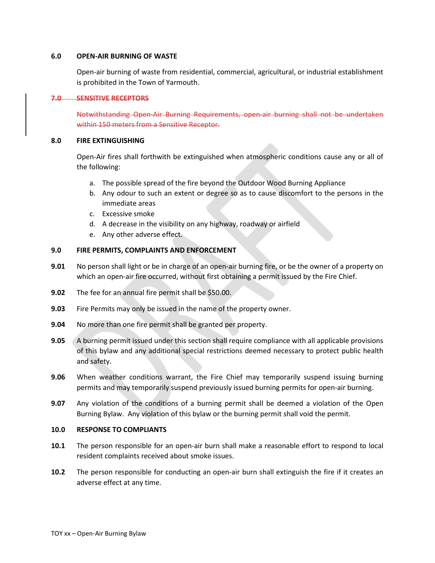#### 6.0 OPEN-AIR BURNING OF WASTE

Open-air burning of waste from residential, commercial, agricultural, or industrial establishment is prohibited in the Town of Yarmouth.

#### 7.0 SENSITIVE RECEPTORS

Notwithstanding Open-Air Burning Requirements, open-air burning shall not be undertaken within 150 meters from a Sensitive Receptor.

### 8.0 FIRE EXTINGUISHING

Open-Air fires shall forthwith be extinguished when atmospheric conditions cause any or all of the following:

- a. The possible spread of the fire beyond the Outdoor Wood Burning Appliance
- b. Any odour to such an extent or degree so as to cause discomfort to the persons in the immediate areas
- c. Excessive smoke
- d. A decrease in the visibility on any highway, roadway or airfield
- e. Any other adverse effect.

# 9.0 FIRE PERMITS, COMPLAINTS AND ENFORCEMENT

- 9.01 No person shall light or be in charge of an open-air burning fire, or be the owner of a property on which an open-air fire occurred, without first obtaining a permit issued by the Fire Chief.
- 9.02 The fee for an annual fire permit shall be \$50.00.
- 9.03 Fire Permits may only be issued in the name of the property owner.
- 9.04 No more than one fire permit shall be granted per property.
- 9.05 A burning permit issued under this section shall require compliance with all applicable provisions of this bylaw and any additional special restrictions deemed necessary to protect public health and safety.
- 9.06 When weather conditions warrant, the Fire Chief may temporarily suspend issuing burning permits and may temporarily suspend previously issued burning permits for open-air burning.
- 9.07 Any violation of the conditions of a burning permit shall be deemed a violation of the Open Burning Bylaw. Any violation of this bylaw or the burning permit shall void the permit.

## 10.0 RESPONSE TO COMPLIANTS

- 10.1 The person responsible for an open-air burn shall make a reasonable effort to respond to local resident complaints received about smoke issues.
- 10.2 The person responsible for conducting an open-air burn shall extinguish the fire if it creates an adverse effect at any time.